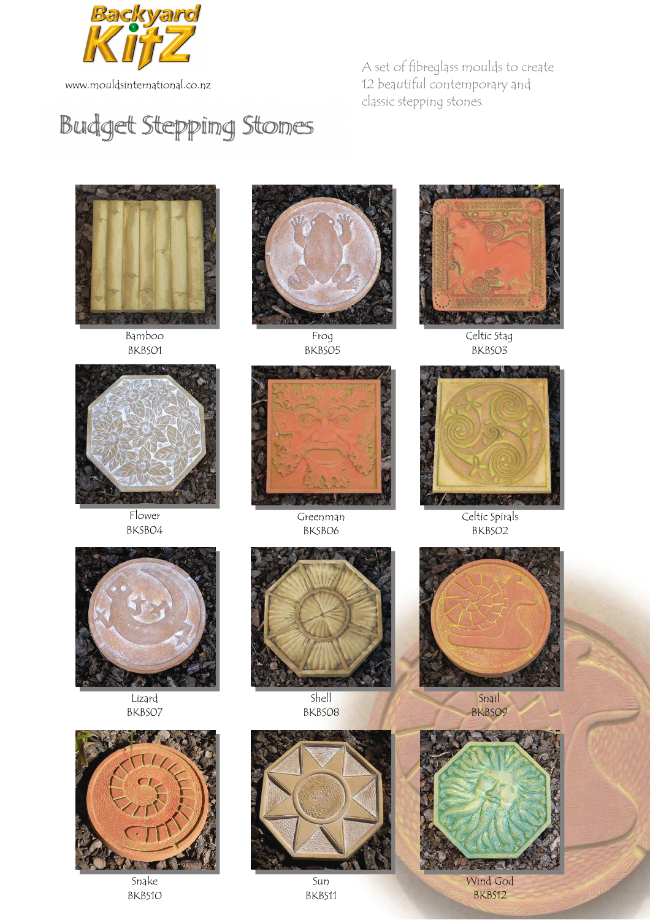

www.mouldsinternational.co.nz

A set of fibreglass moulds to create 12 beautiful contemporary and classic stepping stones.

## Budget Stepping Stones



Bamboo BKBS01



Flower BKSB04



Frog BKBS05



Greenman BKSB06



Celtic Stag BKBS03



Celtic Spirals BKBS02



Lizard BKBS07



Snake BKBS10



Shell BKBS08

Sun BKBS11



Snail BKBS09



Wind God BKBS12